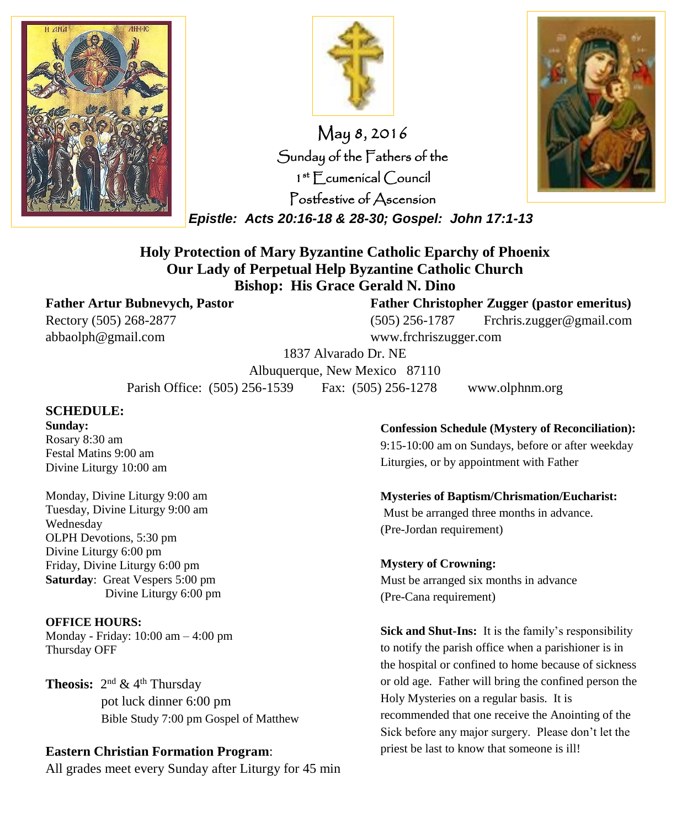



May 8, 2016 Sunday of the Fathers of the 1 st Ecumenical Council Postfestive of Ascension

*Epistle: Acts 20:16-18 & 28-30; Gospel: John 17:1-13*



#### **Holy Protection of Mary Byzantine Catholic Eparchy of Phoenix Our Lady of Perpetual Help Byzantine Catholic Church Bishop: His Grace Gerald N. Dino**

abbaolph@gmail.com www.frchriszugger.com

**Father Artur Bubnevych, Pastor Father Christopher Zugger (pastor emeritus)** Rectory (505) 268-2877 (505) 256-1787 Frchris.zugger@gmail.com

1837 Alvarado Dr. NE

Albuquerque, New Mexico 87110 Parish Office: (505) 256-1539 Fax: (505) 256-1278 www.olphnm.org

#### **SCHEDULE:**

**Sunday:** Rosary 8:30 am Festal Matins 9:00 am Divine Liturgy 10:00 am

Monday, Divine Liturgy 9:00 am Tuesday, Divine Liturgy 9:00 am Wednesday OLPH Devotions, 5:30 pm Divine Liturgy 6:00 pm Friday, Divine Liturgy 6:00 pm **Saturday**: Great Vespers 5:00 pm Divine Liturgy 6:00 pm

**OFFICE HOURS:**

Monday - Friday: 10:00 am – 4:00 pm Thursday OFF

**Theosis:**  $2^{nd}$  & 4<sup>th</sup> Thursday pot luck dinner 6:00 pm Bible Study 7:00 pm Gospel of Matthew

#### **Eastern Christian Formation Program**:

All grades meet every Sunday after Liturgy for 45 min

**Confession Schedule (Mystery of Reconciliation):** 9:15-10:00 am on Sundays, before or after weekday Liturgies, or by appointment with Father

**Mysteries of Baptism/Chrismation/Eucharist:** Must be arranged three months in advance. (Pre-Jordan requirement)

#### **Mystery of Crowning:**

Must be arranged six months in advance (Pre-Cana requirement)

**Sick and Shut-Ins:** It is the family's responsibility to notify the parish office when a parishioner is in the hospital or confined to home because of sickness or old age. Father will bring the confined person the Holy Mysteries on a regular basis. It is recommended that one receive the Anointing of the Sick before any major surgery. Please don't let the priest be last to know that someone is ill!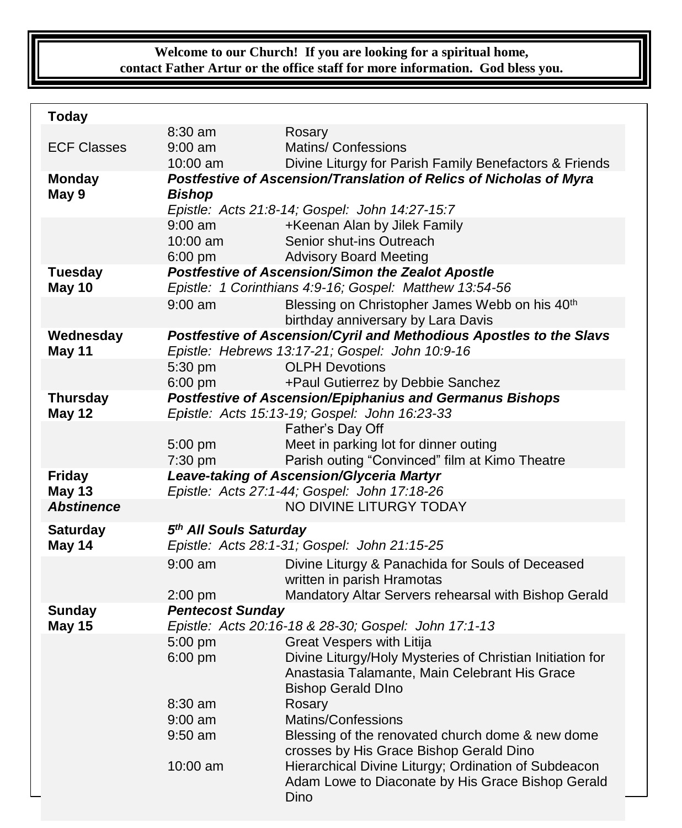#### **Welcome to our Church! If you are looking for a spiritual home, contact Father Artur or the office staff for more information. God bless you.**

| <b>Today</b>       |                                                          |                                                                          |
|--------------------|----------------------------------------------------------|--------------------------------------------------------------------------|
|                    | 8:30 am                                                  | Rosary                                                                   |
| <b>ECF Classes</b> | $9:00$ am                                                | <b>Matins/ Confessions</b>                                               |
|                    | 10:00 am                                                 | Divine Liturgy for Parish Family Benefactors & Friends                   |
| <b>Monday</b>      |                                                          | Postfestive of Ascension/Translation of Relics of Nicholas of Myra       |
| May 9              | <b>Bishop</b>                                            |                                                                          |
|                    |                                                          | Epistle: Acts 21:8-14; Gospel: John 14:27-15:7                           |
|                    | $9:00$ am                                                | +Keenan Alan by Jilek Family                                             |
|                    | 10:00 am                                                 | Senior shut-ins Outreach                                                 |
|                    | $6:00 \text{ pm}$                                        | <b>Advisory Board Meeting</b>                                            |
| <b>Tuesday</b>     | <b>Postfestive of Ascension/Simon the Zealot Apostle</b> |                                                                          |
| May 10             |                                                          | Epistle: 1 Corinthians 4:9-16; Gospel: Matthew 13:54-56                  |
|                    | $9:00$ am                                                | Blessing on Christopher James Webb on his 40 <sup>th</sup>               |
|                    |                                                          | birthday anniversary by Lara Davis                                       |
| Wednesday          |                                                          | Postfestive of Ascension/Cyril and Methodious Apostles to the Slavs      |
| May 11             | 5:30 pm                                                  | Epistle: Hebrews 13:17-21; Gospel: John 10:9-16<br><b>OLPH Devotions</b> |
|                    | $6:00$ pm                                                | +Paul Gutierrez by Debbie Sanchez                                        |
| <b>Thursday</b>    |                                                          | <b>Postfestive of Ascension/Epiphanius and Germanus Bishops</b>          |
| May 12             |                                                          | Epistle: Acts 15:13-19; Gospel: John 16:23-33                            |
|                    |                                                          | Father's Day Off                                                         |
|                    | 5:00 pm                                                  | Meet in parking lot for dinner outing                                    |
|                    | 7:30 pm                                                  | Parish outing "Convinced" film at Kimo Theatre                           |
| <b>Friday</b>      |                                                          | Leave-taking of Ascension/Glyceria Martyr                                |
| <b>May 13</b>      |                                                          | Epistle: Acts 27:1-44; Gospel: John 17:18-26                             |
| <b>Abstinence</b>  |                                                          | NO DIVINE LITURGY TODAY                                                  |
| <b>Saturday</b>    | 5 <sup>th</sup> All Souls Saturday                       |                                                                          |
| May 14             |                                                          | Epistle: Acts 28:1-31; Gospel: John 21:15-25                             |
|                    | $9:00$ am                                                | Divine Liturgy & Panachida for Souls of Deceased                         |
|                    |                                                          | written in parish Hramotas                                               |
|                    | $2:00$ pm                                                | Mandatory Altar Servers rehearsal with Bishop Gerald                     |
| Sunday             | <b>Pentecost Sunday</b>                                  |                                                                          |
| <b>May 15</b>      | Epistle: Acts 20:16-18 & 28-30; Gospel: John 17:1-13     |                                                                          |
|                    | 5:00 pm                                                  | Great Vespers with Litija                                                |
|                    | 6:00 pm                                                  | Divine Liturgy/Holy Mysteries of Christian Initiation for                |
|                    |                                                          | Anastasia Talamante, Main Celebrant His Grace                            |
|                    |                                                          | <b>Bishop Gerald DIno</b>                                                |
|                    | $8:30$ am                                                | Rosary                                                                   |
|                    | $9:00$ am                                                | Matins/Confessions                                                       |
|                    | $9:50$ am                                                | Blessing of the renovated church dome & new dome                         |
|                    |                                                          | crosses by His Grace Bishop Gerald Dino                                  |
|                    | 10:00 am                                                 | Hierarchical Divine Liturgy; Ordination of Subdeacon                     |
|                    |                                                          | Adam Lowe to Diaconate by His Grace Bishop Gerald<br>Dino                |
|                    |                                                          |                                                                          |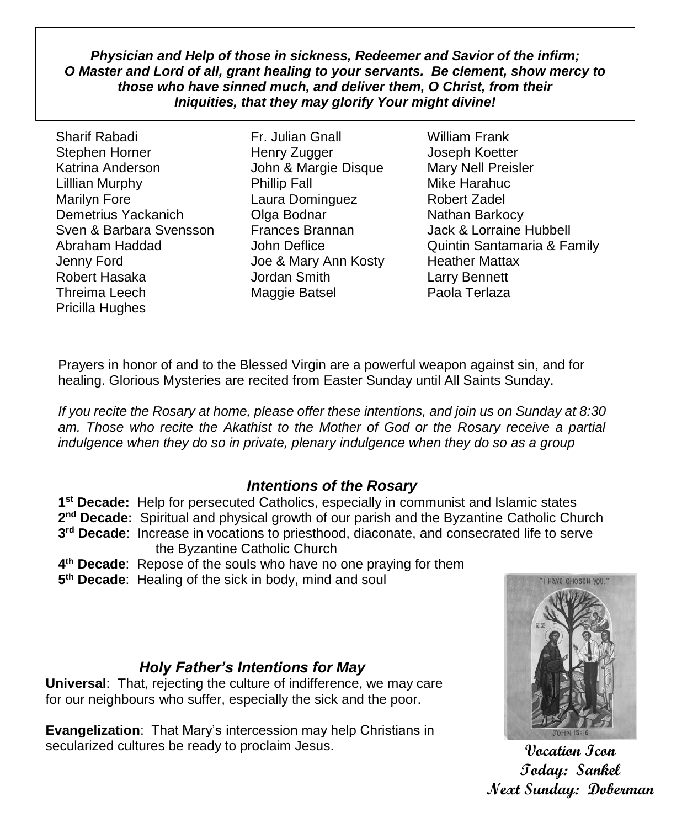*Physician and Help of those in sickness, Redeemer and Savior of the infirm; O Master and Lord of all, grant healing to your servants. Be clement, show mercy to those who have sinned much, and deliver them, O Christ, from their Iniquities, that they may glorify Your might divine!*

Sharif Rabadi Fr. Julian Gnall William Frank Stephen Horner **Henry Zugger** Joseph Koetter Katrina Anderson **Margie Disque** Mary Nell Preisler Lilllian Murphy **Phillip Fall** Mike Harahuc Marilyn Fore Laura Dominguez Robert Zadel Demetrius Yackanich **Olga Bodnar** Nathan Barkocy Sven & Barbara Svensson Frances Brannan Jack & Lorraine Hubbell Jenny Ford Joe & Mary Ann Kosty Heather Mattax Robert Hasaka Jordan Smith Larry Bennett Threima Leech Maggie Batsel Paola Terlaza Pricilla Hughes

Abraham Haddad **John Deflice** Quintin Santamaria & Family

Prayers in honor of and to the Blessed Virgin are a powerful weapon against sin, and for healing. Glorious Mysteries are recited from Easter Sunday until All Saints Sunday.

*If you recite the Rosary at home, please offer these intentions, and join us on Sunday at 8:30 am. Those who recite the Akathist to the Mother of God or the Rosary receive a partial indulgence when they do so in private, plenary indulgence when they do so as a group*

### *Intentions of the Rosary*

**1 st Decade:** Help for persecuted Catholics, especially in communist and Islamic states

2<sup>nd</sup> Decade: Spiritual and physical growth of our parish and the Byzantine Catholic Church **3 rd Decade**: Increase in vocations to priesthood, diaconate, and consecrated life to serve

the Byzantine Catholic Church

- **4 th Decade**: Repose of the souls who have no one praying for them
- **5 th Decade**: Healing of the sick in body, mind and soul

## *Holy Father's Intentions for May*

**Universal**: That, rejecting the culture of indifference, we may care for our neighbours who suffer, especially the sick and the poor.

**Evangelization**: That Mary's intercession may help Christians in secularized cultures be ready to proclaim Jesus.



**Vocation Icon Today: Sankel Next Sunday: Doberman**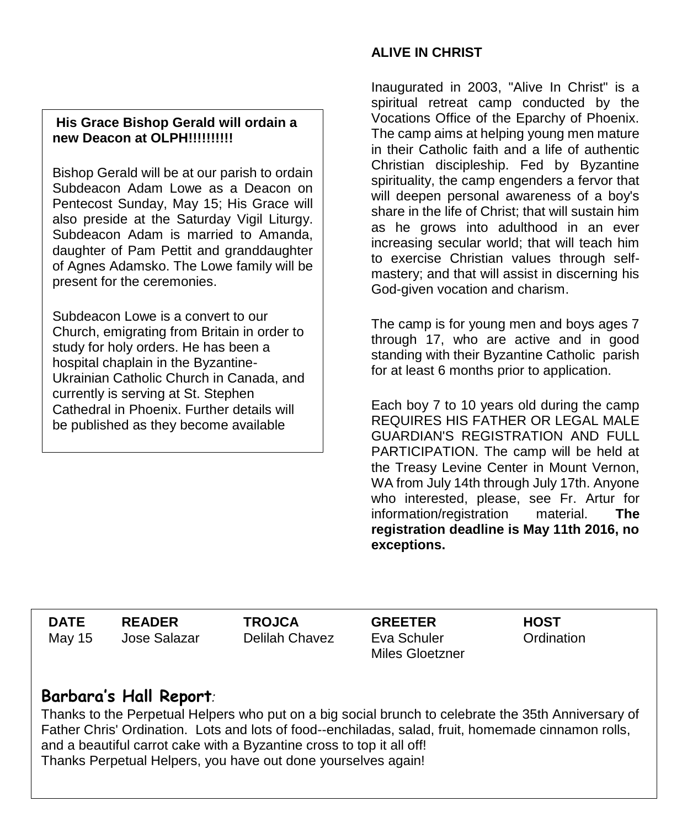#### **His Grace Bishop Gerald will ordain a new Deacon at OLPH!!!!!!!!!!**

Bishop Gerald will be at our parish to ordain Subdeacon Adam Lowe as a Deacon on Pentecost Sunday, May 15; His Grace will also preside at the Saturday Vigil Liturgy. Subdeacon Adam is married to Amanda, daughter of Pam Pettit and granddaughter of Agnes Adamsko. The Lowe family will be present for the ceremonies.

Subdeacon Lowe is a convert to our Church, emigrating from Britain in order to study for holy orders. He has been a hospital chaplain in the Byzantine-Ukrainian Catholic Church in Canada, and currently is serving at St. Stephen Cathedral in Phoenix. Further details will be published as they become available

#### **ALIVE IN CHRIST**

Inaugurated in 2003, "Alive In Christ" is a spiritual retreat camp conducted by the Vocations Office of the Eparchy of Phoenix. The camp aims at helping young men mature in their Catholic faith and a life of authentic Christian discipleship. Fed by Byzantine spirituality, the camp engenders a fervor that will deepen personal awareness of a boy's share in the life of Christ; that will sustain him as he grows into adulthood in an ever increasing secular world; that will teach him to exercise Christian values through selfmastery; and that will assist in discerning his God-given vocation and charism.

The camp is for young men and boys ages 7 through 17, who are active and in good standing with their Byzantine Catholic parish for at least 6 months prior to application.

Each boy 7 to 10 years old during the camp REQUIRES HIS FATHER OR LEGAL MALE GUARDIAN'S REGISTRATION AND FULL PARTICIPATION. The camp will be held at the Treasy Levine Center in Mount Vernon, WA from July 14th through July 17th. Anyone who interested, please, see Fr. Artur for information/registration material. **The registration deadline is May 11th 2016, no exceptions.**

**DATE READER TROJCA GREETER HOST HOST** May 15 Jose Salazar Delilah Chavez Eva Schuler

Miles Gloetzner

Ordination

# **Barbara's Hall Report***:*

Thanks to the Perpetual Helpers who put on a big social brunch to celebrate the 35th Anniversary of Father Chris' Ordination. Lots and lots of food--enchiladas, salad, fruit, homemade cinnamon rolls, and a beautiful carrot cake with a Byzantine cross to top it all off! Thanks Perpetual Helpers, you have out done yourselves again!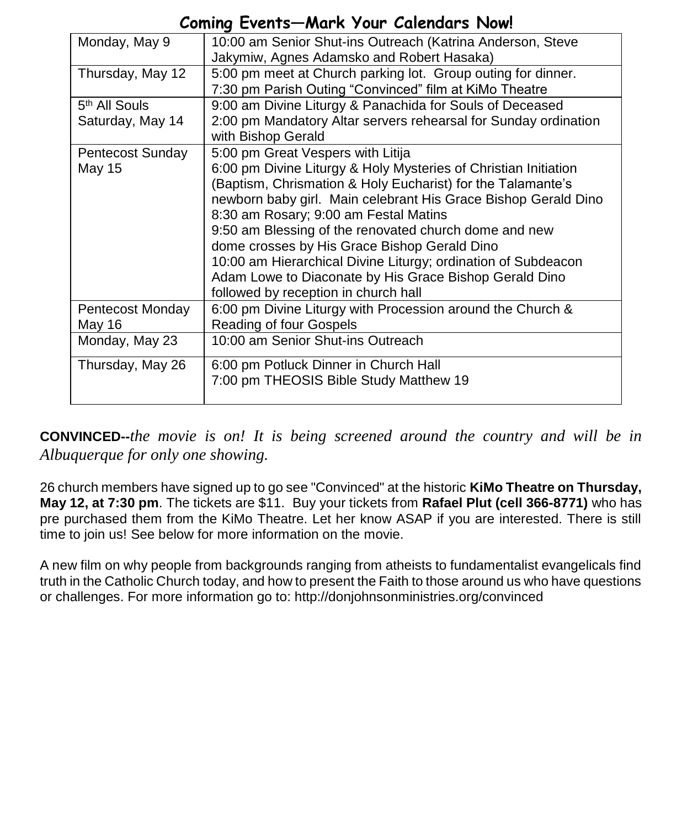## **Coming Events—Mark Your Calendars Now!**

| Monday, May 9                                 | 10:00 am Senior Shut-ins Outreach (Katrina Anderson, Steve<br>Jakymiw, Agnes Adamsko and Robert Hasaka)                                                                                                                                                                                                                                                                                                                                                                                                                                                    |  |  |
|-----------------------------------------------|------------------------------------------------------------------------------------------------------------------------------------------------------------------------------------------------------------------------------------------------------------------------------------------------------------------------------------------------------------------------------------------------------------------------------------------------------------------------------------------------------------------------------------------------------------|--|--|
| Thursday, May 12                              | 5:00 pm meet at Church parking lot. Group outing for dinner.<br>7:30 pm Parish Outing "Convinced" film at KiMo Theatre                                                                                                                                                                                                                                                                                                                                                                                                                                     |  |  |
| 5 <sup>th</sup> All Souls<br>Saturday, May 14 | 9:00 am Divine Liturgy & Panachida for Souls of Deceased<br>2:00 pm Mandatory Altar servers rehearsal for Sunday ordination<br>with Bishop Gerald                                                                                                                                                                                                                                                                                                                                                                                                          |  |  |
| Pentecost Sunday<br>May 15                    | 5:00 pm Great Vespers with Litija<br>6:00 pm Divine Liturgy & Holy Mysteries of Christian Initiation<br>(Baptism, Chrismation & Holy Eucharist) for the Talamante's<br>newborn baby girl. Main celebrant His Grace Bishop Gerald Dino<br>8:30 am Rosary; 9:00 am Festal Matins<br>9:50 am Blessing of the renovated church dome and new<br>dome crosses by His Grace Bishop Gerald Dino<br>10:00 am Hierarchical Divine Liturgy; ordination of Subdeacon<br>Adam Lowe to Diaconate by His Grace Bishop Gerald Dino<br>followed by reception in church hall |  |  |
| Pentecost Monday<br>May 16                    | 6:00 pm Divine Liturgy with Procession around the Church &<br>Reading of four Gospels                                                                                                                                                                                                                                                                                                                                                                                                                                                                      |  |  |
| Monday, May 23                                | 10:00 am Senior Shut-ins Outreach                                                                                                                                                                                                                                                                                                                                                                                                                                                                                                                          |  |  |
| Thursday, May 26                              | 6:00 pm Potluck Dinner in Church Hall<br>7:00 pm THEOSIS Bible Study Matthew 19                                                                                                                                                                                                                                                                                                                                                                                                                                                                            |  |  |

**CONVINCED--***the movie is on! It is being screened around the country and will be in Albuquerque for only one showing.*

26 church members have signed up to go see "Convinced" at the historic **KiMo Theatre on Thursday, May 12, at 7:30 pm**. The tickets are \$11. Buy your tickets from **Rafael Plut (cell 366-8771)** who has pre purchased them from the KiMo Theatre. Let her know ASAP if you are interested. There is still time to join us! See below for more information on the movie.

A new film on why people from backgrounds ranging from atheists to fundamentalist evangelicals find truth in the Catholic Church today, and how to present the Faith to those around us who have questions or challenges. For more information go to: http://donjohnsonministries.org/convinced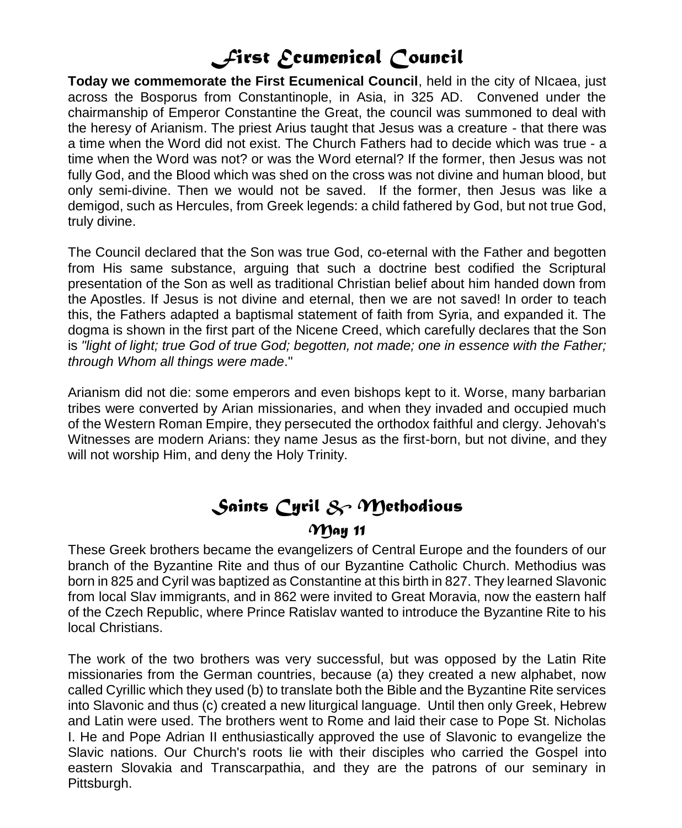# *First Ecumenical Council*

**Today we commemorate the First Ecumenical Council**, held in the city of NIcaea, just across the Bosporus from Constantinople, in Asia, in 325 AD. Convened under the chairmanship of Emperor Constantine the Great, the council was summoned to deal with the heresy of Arianism. The priest Arius taught that Jesus was a creature - that there was a time when the Word did not exist. The Church Fathers had to decide which was true - a time when the Word was not? or was the Word eternal? If the former, then Jesus was not fully God, and the Blood which was shed on the cross was not divine and human blood, but only semi-divine. Then we would not be saved. If the former, then Jesus was like a demigod, such as Hercules, from Greek legends: a child fathered by God, but not true God, truly divine.

The Council declared that the Son was true God, co-eternal with the Father and begotten from His same substance, arguing that such a doctrine best codified the Scriptural presentation of the Son as well as traditional Christian belief about him handed down from the Apostles. If Jesus is not divine and eternal, then we are not saved! In order to teach this, the Fathers adapted a baptismal statement of faith from Syria, and expanded it. The dogma is shown in the first part of the Nicene Creed, which carefully declares that the Son is *"light of light; true God of true God; begotten, not made; one in essence with the Father; through Whom all things were made*."

Arianism did not die: some emperors and even bishops kept to it. Worse, many barbarian tribes were converted by Arian missionaries, and when they invaded and occupied much of the Western Roman Empire, they persecuted the orthodox faithful and clergy. Jehovah's Witnesses are modern Arians: they name Jesus as the first-born, but not divine, and they will not worship Him, and deny the Holy Trinity.

# *Saints Cyril & Methodious*

### *May 11*

These Greek brothers became the evangelizers of Central Europe and the founders of our branch of the Byzantine Rite and thus of our Byzantine Catholic Church. Methodius was born in 825 and Cyril was baptized as Constantine at this birth in 827. They learned Slavonic from local Slav immigrants, and in 862 were invited to Great Moravia, now the eastern half of the Czech Republic, where Prince Ratislav wanted to introduce the Byzantine Rite to his local Christians.

The work of the two brothers was very successful, but was opposed by the Latin Rite missionaries from the German countries, because (a) they created a new alphabet, now called Cyrillic which they used (b) to translate both the Bible and the Byzantine Rite services into Slavonic and thus (c) created a new liturgical language. Until then only Greek, Hebrew and Latin were used. The brothers went to Rome and laid their case to Pope St. Nicholas I. He and Pope Adrian II enthusiastically approved the use of Slavonic to evangelize the Slavic nations. Our Church's roots lie with their disciples who carried the Gospel into eastern Slovakia and Transcarpathia, and they are the patrons of our seminary in Pittsburgh.